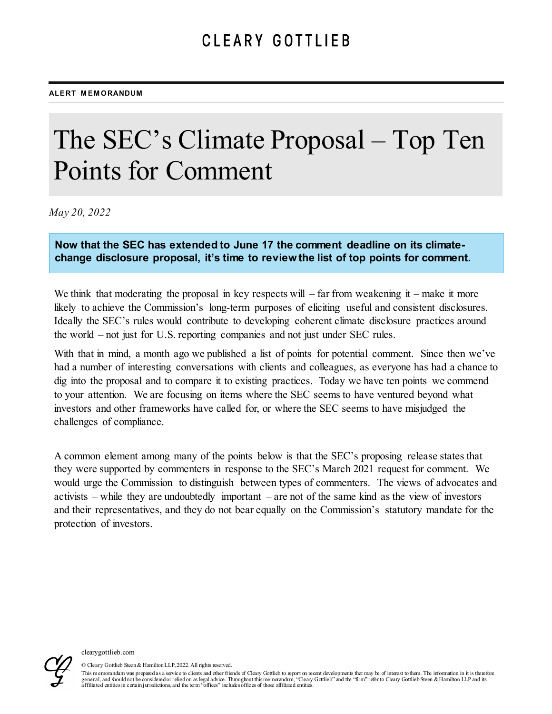# The SEC's Climate Proposal – Top Ten Points for Comment

*May 20, 2022*

**Now that the SEC has extended to June 17 the comment deadline on its climatechange disclosure proposal, it's time to review the list of top points for comment.** 

We think that moderating the proposal in key respects will  $-$  far from weakening it  $-$  make it more likely to achieve the Commission's long-term purposes of eliciting useful and consistent disclosures. Ideally the SEC's rules would contribute to developing coherent climate disclosure practices around the world – not just for U.S. reporting companies and not just under SEC rules.

With that in mind, a month ago we published a list of points for potential comment. Since then we've had a number of interesting conversations with clients and colleagues, as everyone has had a chance to dig into the proposal and to compare it to existing practices. Today we have ten points we commend to your attention. We are focusing on items where the SEC seems to have ventured beyond what investors and other frameworks have called for, or where the SEC seems to have misjudged the challenges of compliance.

A common element among many of the points below is that the SEC's proposing release states that they were supported by commenters in response to the SEC's March 2021 request for comment. We would urge the Commission to distinguish between types of commenters. The views of advocates and activists – while they are undoubtedly important – are not of the same kind as the view of investors and their representatives, and they do not bear equally on the Commission's statutory mandate for the protection of investors.



© Cleary Gottlieb Steen & Hamilton LLP, 2022. All rights reserved.

This memorandum was prepared as a service to clients and other friends of Cleary Gottlieb to report on recent developments that may be of interest to them. The information in it is therefore general, and should not be considered or relied on as legal advice. Throughout this memorandum, "Cleary Gottlieb" and the "firm" refer to Cleary Gottlieb Steen & Hamilton LLP and its<br>affiliated entities in certain jurisdic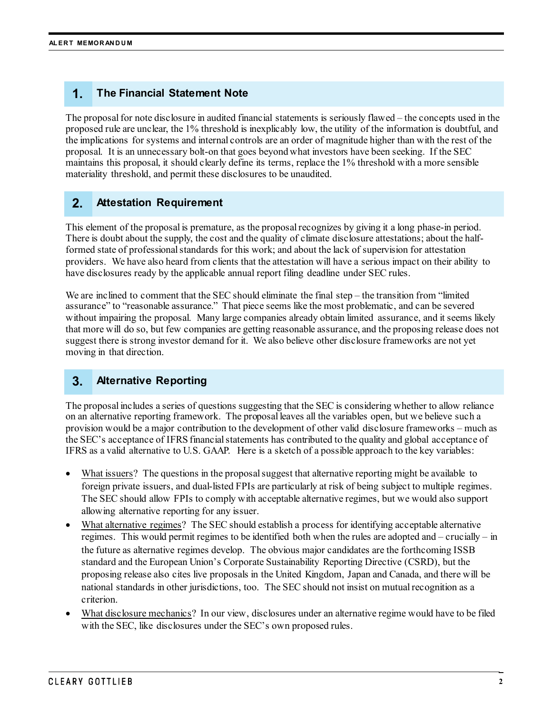## **1. The Financial Statement Note**

The proposal for note disclosure in audited financial statements is seriously flawed – the concepts used in the proposed rule are unclear, the 1% threshold is inexplicably low, the utility of the information is doubtful, and the implications for systems and internal controls are an order of magnitude higher than with the rest of the proposal. It is an unnecessary bolt-on that goes beyond what investors have been seeking. If the SEC maintains this proposal, it should clearly define its terms, replace the 1% threshold with a more sensible materiality threshold, and permit these disclosures to be unaudited.

### **2. Attestation Requirement**

This element of the proposal is premature, as the proposal recognizes by giving it a long phase-in period. There is doubt about the supply, the cost and the quality of climate disclosure attestations; about the halfformed state of professional standards for this work; and about the lack of supervision for attestation providers. We have also heard from clients that the attestation will have a serious impact on their ability to have disclosures ready by the applicable annual report filing deadline under SEC rules.

We are inclined to comment that the SEC should eliminate the final step – the transition from "limited" assurance" to "reasonable assurance." That piece seems like the most problematic, and can be severed without impairing the proposal. Many large companies already obtain limited assurance, and it seems likely that more will do so, but few companies are getting reasonable assurance, and the proposing release does not suggest there is strong investor demand for it. We also believe other disclosure frameworks are not yet moving in that direction.

### **3. Alternative Reporting**

The proposal includes a series of questions suggesting that the SEC is considering whether to allow reliance on an alternative reporting framework. The proposal leaves all the variables open, but we believe such a provision would be a major contribution to the development of other valid disclosure frameworks – much as the SEC's acceptance of IFRS financial statements has contributed to the quality and global acceptance of IFRS as a valid alternative to U.S. GAAP. Here is a sketch of a possible approach to the key variables:

- What issuers? The questions in the proposal suggest that alternative reporting might be available to foreign private issuers, and dual-listed FPIs are particularly at risk of being subject to multiple regimes. The SEC should allow FPIs to comply with acceptable alternative regimes, but we would also support allowing alternative reporting for any issuer.
- What alternative regimes? The SEC should establish a process for identifying acceptable alternative regimes. This would permit regimes to be identified both when the rules are adopted and – crucially – in the future as alternative regimes develop. The obvious major candidates are the forthcoming ISSB standard and the European Union's Corporate Sustainability Reporting Directive (CSRD), but the proposing release also cites live proposals in the United Kingdom, Japan and Canada, and there will be national standards in other jurisdictions, too. The SEC should not insist on mutual recognition as a criterion.
- What disclosure mechanics? In our view, disclosures under an alternative regime would have to be filed with the SEC, like disclosures under the SEC's own proposed rules.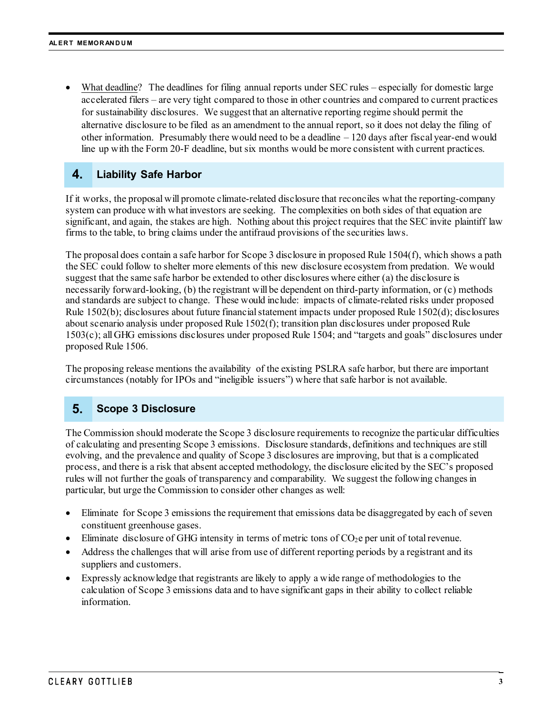• What deadline? The deadlines for filing annual reports under SEC rules – especially for domestic large accelerated filers – are very tight compared to those in other countries and compared to current practices for sustainability disclosures. We suggest that an alternative reporting regime should permit the alternative disclosure to be filed as an amendment to the annual report, so it does not delay the filing of other information. Presumably there would need to be a deadline  $-120$  days after fiscal year-end would line up with the Form 20-F deadline, but six months would be more consistent with current practices.

#### **4. Liability Safe Harbor**

If it works, the proposal will promote climate-related disclosure that reconciles what the reporting-company system can produce with what investors are seeking. The complexities on both sides of that equation are significant, and again, the stakes are high. Nothing about this project requires that the SEC invite plaintiff law firms to the table, to bring claims under the antifraud provisions of the securities laws.

The proposal does contain a safe harbor for Scope 3 disclosure in proposed Rule 1504(f), which shows a path the SEC could follow to shelter more elements of this new disclosure ecosystem from predation. We would suggest that the same safe harbor be extended to other disclosures where either (a) the disclosure is necessarily forward-looking, (b) the registrant will be dependent on third-party information, or (c) methods and standards are subject to change. These would include: impacts of climate-related risks under proposed Rule 1502(b); disclosures about future financial statement impacts under proposed Rule 1502(d); disclosures about scenario analysis under proposed Rule 1502(f); transition plan disclosures under proposed Rule 1503(c); all GHG emissions disclosures under proposed Rule 1504; and "targets and goals" disclosures under proposed Rule 1506.

The proposing release mentions the availability of the existing PSLRA safe harbor, but there are important circumstances (notably for IPOs and "ineligible issuers") where that safe harbor is not available.

#### **5. Scope 3 Disclosure**

The Commission should moderate the Scope 3 disclosure requirements to recognize the particular difficulties of calculating and presenting Scope 3 emissions. Disclosure standards, definitions and techniques are still evolving, and the prevalence and quality of Scope 3 disclosures are improving, but that is a complicated process, and there is a risk that absent accepted methodology, the disclosure elicited by the SEC's proposed rules will not further the goals of transparency and comparability. We suggest the following changes in particular, but urge the Commission to consider other changes as well:

- Eliminate for Scope 3 emissions the requirement that emissions data be disaggregated by each of seven constituent greenhouse gases.
- Eliminate disclosure of GHG intensity in terms of metric tons of  $CO<sub>2</sub>e$  per unit of total revenue.
- Address the challenges that will arise from use of different reporting periods by a registrant and its suppliers and customers.
- Expressly acknowledge that registrants are likely to apply a wide range of methodologies to the calculation of Scope 3 emissions data and to have significant gaps in their ability to collect reliable information.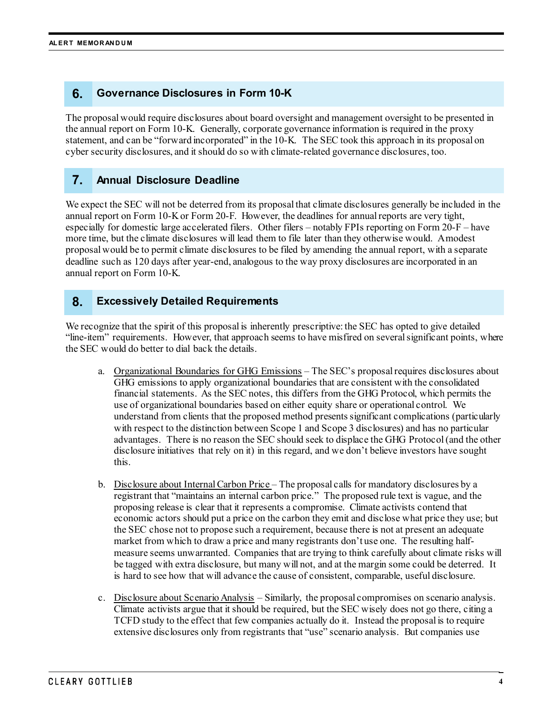### **6. Governance Disclosures in Form 10-K**

The proposal would require disclosures about board oversight and management oversight to be presented in the annual report on Form 10-K. Generally, corporate governance information is required in the proxy statement, and can be "forward incorporated" in the 10-K. The SEC took this approach in its proposal on cyber security disclosures, and it should do so with climate-related governance disclosures, too.

#### **7. Annual Disclosure Deadline**

We expect the SEC will not be deterred from its proposal that climate disclosures generally be included in the annual report on Form 10-K or Form 20-F. However, the deadlines for annual reports are very tight, especially for domestic large accelerated filers. Other filers – notably FPIs reporting on Form 20-F – have more time, but the climate disclosures will lead them to file later than they otherwise would. A modest proposal would be to permit climate disclosures to be filed by amending the annual report, with a separate deadline such as 120 days after year-end, analogous to the way proxy disclosures are incorporated in an annual report on Form 10-K.

#### **8. Excessively Detailed Requirements**

We recognize that the spirit of this proposal is inherently prescriptive: the SEC has opted to give detailed "line-item" requirements. However, that approach seems to have misfired on several significant points, where the SEC would do better to dial back the details.

- a. Organizational Boundaries for GHG Emissions The SEC's proposal requires disclosures about GHG emissions to apply organizational boundaries that are consistent with the consolidated financial statements. As the SEC notes, this differs from the GHG Protocol, which permits the use of organizational boundaries based on either equity share or operational control. We understand from clients that the proposed method presents significant complications (particularly with respect to the distinction between Scope 1 and Scope 3 disclosures) and has no particular advantages. There is no reason the SEC should seek to displace the GHG Protocol (and the other disclosure initiatives that rely on it) in this regard, and we don't believe investors have sought this.
- b. Disclosure about Internal Carbon Price The proposal calls for mandatory disclosures by a registrant that "maintains an internal carbon price." The proposed rule text is vague, and the proposing release is clear that it represents a compromise. Climate activists contend that economic actors should put a price on the carbon they emit and disclose what price they use; but the SEC chose not to propose such a requirement, because there is not at present an adequate market from which to draw a price and many registrants don't use one. The resulting halfmeasure seems unwarranted. Companies that are trying to think carefully about climate risks will be tagged with extra disclosure, but many will not, and at the margin some could be deterred. It is hard to see how that will advance the cause of consistent, comparable, useful disclosure.
- c. Disclosure about Scenario Analysis Similarly, the proposal compromises on scenario analysis. Climate activists argue that it should be required, but the SEC wisely does not go there, citing a TCFD study to the effect that few companies actually do it. Instead the proposal is to require extensive disclosures only from registrants that "use" scenario analysis. But companies use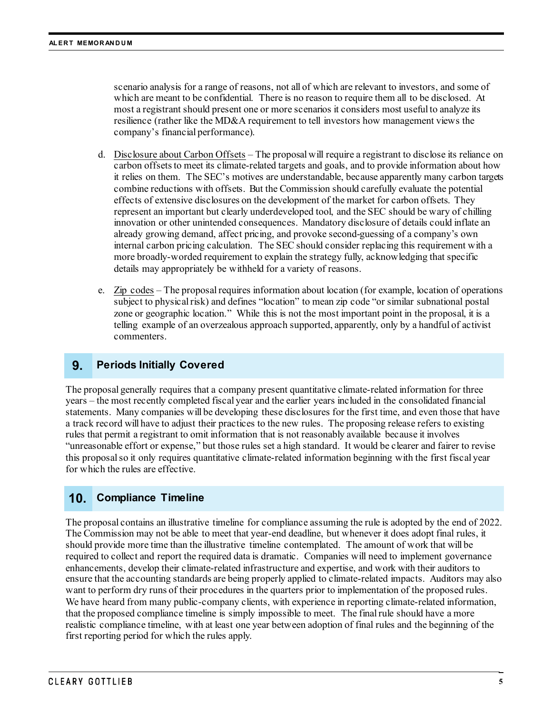scenario analysis for a range of reasons, not all of which are relevant to investors, and some of which are meant to be confidential. There is no reason to require them all to be disclosed. At most a registrant should present one or more scenarios it considers most useful to analyze its resilience (rather like the MD&A requirement to tell investors how management views the company's financial performance).

- d. Disclosure about Carbon Offsets The proposal will require a registrant to disclose its reliance on carbon offsets to meet its climate-related targets and goals, and to provide information about how it relies on them. The SEC's motives are understandable, because apparently many carbon targets combine reductions with offsets. But the Commission should carefully evaluate the potential effects of extensive disclosures on the development of the market for carbon offsets. They represent an important but clearly underdeveloped tool, and the SEC should be wary of chilling innovation or other unintended consequences. Mandatory disclosure of details could inflate an already growing demand, affect pricing, and provoke second-guessing of a company's own internal carbon pricing calculation. The SEC should consider replacing this requirement with a more broadly-worded requirement to explain the strategy fully, acknowledging that specific details may appropriately be withheld for a variety of reasons.
- e. Zip codes The proposal requires information about location (for example, location of operations subject to physical risk) and defines "location" to mean zip code "or similar subnational postal zone or geographic location." While this is not the most important point in the proposal, it is a telling example of an overzealous approach supported, apparently, only by a handful of activist commenters.

#### **9. Periods Initially Covered**

The proposal generally requires that a company present quantitative climate-related information for three years – the most recently completed fiscal year and the earlier years included in the consolidated financial statements. Many companies will be developing these disclosures for the first time, and even those that have a track record will have to adjust their practices to the new rules. The proposing release refers to existing rules that permit a registrant to omit information that is not reasonably available because it involves "unreasonable effort or expense," but those rules set a high standard. It would be clearer and fairer to revise this proposal so it only requires quantitative climate-related information beginning with the first fiscal year for which the rules are effective.

### **10. Compliance Timeline**

The proposal contains an illustrative timeline for compliance assuming the rule is adopted by the end of 2022. The Commission may not be able to meet that year-end deadline, but whenever it does adopt final rules, it should provide more time than the illustrative timeline contemplated. The amount of work that will be required to collect and report the required data is dramatic. Companies will need to implement governance enhancements, develop their climate-related infrastructure and expertise, and work with their auditors to ensure that the accounting standards are being properly applied to climate-related impacts. Auditors may also want to perform dry runs of their procedures in the quarters prior to implementation of the proposed rules. We have heard from many public-company clients, with experience in reporting climate-related information, that the proposed compliance timeline is simply impossible to meet. The final rule should have a more realistic compliance timeline, with at least one year between adoption of final rules and the beginning of the first reporting period for which the rules apply.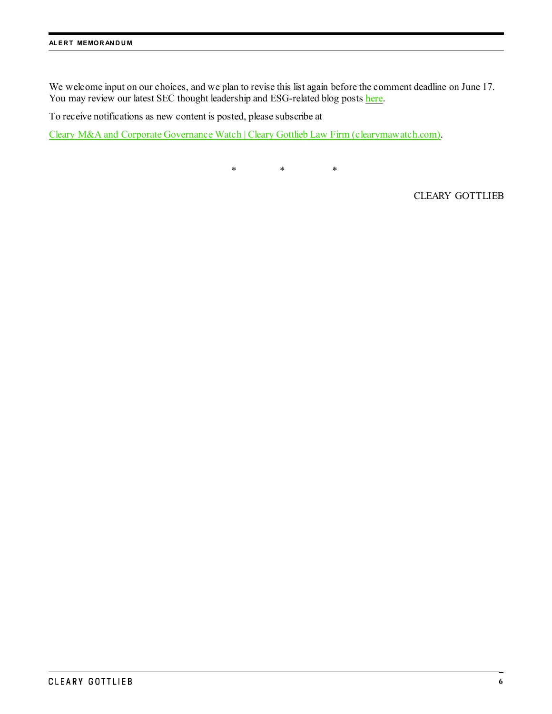We welcome input on our choices, and we plan to revise this list again before the comment deadline on June 17. You may review our latest SEC thought leadership and ESG-related blog post[s here.](https://www.clearymawatch.com/)

To receive notifications as new content is posted, please subscribe at

[Cleary M&A and Corporate Governance Watch | Cleary](https://www.clearymawatch.com/) Gottlieb Law Firm (clearymawatch.com).

\* \* \*

CLEARY GOTTLIEB